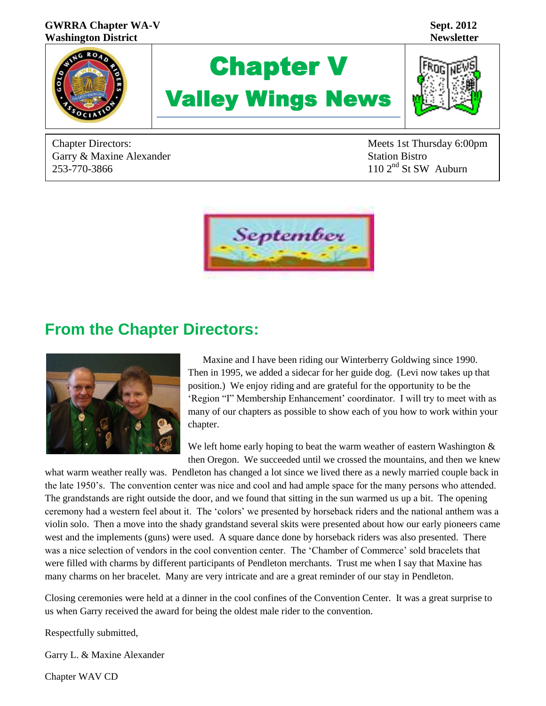

Chapter Directors: Meets 1st Thursday 6:00pm Garry & Maxine Alexander Garry & Maxine Alexander<br>
253-770-3866 110 2<sup>nd</sup> St SW Auburn



# **From the Chapter Directors:**



 Maxine and I have been riding our Winterberry Goldwing since 1990. Then in 1995, we added a sidecar for her guide dog. (Levi now takes up that position.) We enjoy riding and are grateful for the opportunity to be the 'Region "I" Membership Enhancement' coordinator. I will try to meet with as many of our chapters as possible to show each of you how to work within your chapter.

We left home early hoping to beat the warm weather of eastern Washington  $\&$ then Oregon. We succeeded until we crossed the mountains, and then we knew

what warm weather really was. Pendleton has changed a lot since we lived there as a newly married couple back in the late 1950's. The convention center was nice and cool and had ample space for the many persons who attended. The grandstands are right outside the door, and we found that sitting in the sun warmed us up a bit. The opening ceremony had a western feel about it. The 'colors' we presented by horseback riders and the national anthem was a violin solo. Then a move into the shady grandstand several skits were presented about how our early pioneers came west and the implements (guns) were used. A square dance done by horseback riders was also presented. There was a nice selection of vendors in the cool convention center. The 'Chamber of Commerce' sold bracelets that were filled with charms by different participants of Pendleton merchants. Trust me when I say that Maxine has many charms on her bracelet. Many are very intricate and are a great reminder of our stay in Pendleton.

Closing ceremonies were held at a dinner in the cool confines of the Convention Center. It was a great surprise to us when Garry received the award for being the oldest male rider to the convention.

Respectfully submitted,

Garry L. & Maxine Alexander

Chapter WAV CD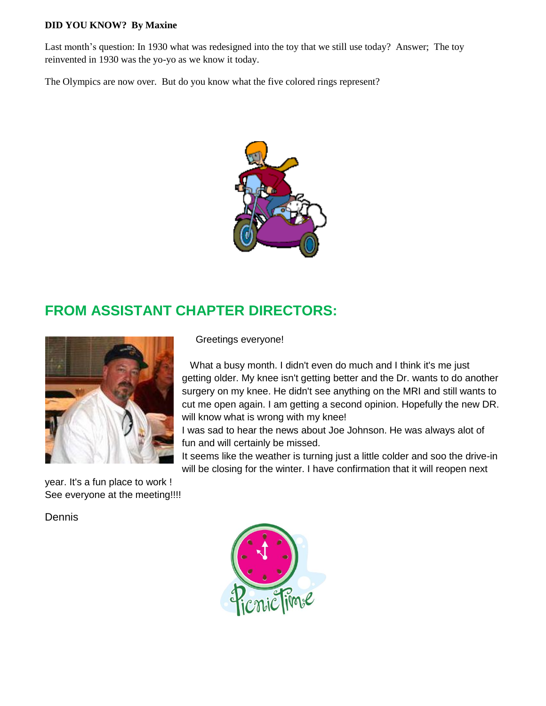#### **DID YOU KNOW? By Maxine**

Last month's question: In 1930 what was redesigned into the toy that we still use today? Answer; The toy reinvented in 1930 was the yo-yo as we know it today.

The Olympics are now over. But do you know what the five colored rings represent?



# **FROM ASSISTANT CHAPTER DIRECTORS:**



year. It's a fun place to work ! See everyone at the meeting!!!!

Dennis

## Greetings everyone!

 What a busy month. I didn't even do much and I think it's me just getting older. My knee isn't getting better and the Dr. wants to do another surgery on my knee. He didn't see anything on the MRI and still wants to cut me open again. I am getting a second opinion. Hopefully the new DR. will know what is wrong with my knee!

I was sad to hear the news about Joe Johnson. He was always alot of fun and will certainly be missed.

It seems like the weather is turning just a little colder and soo the drive-in will be closing for the winter. I have confirmation that it will reopen next

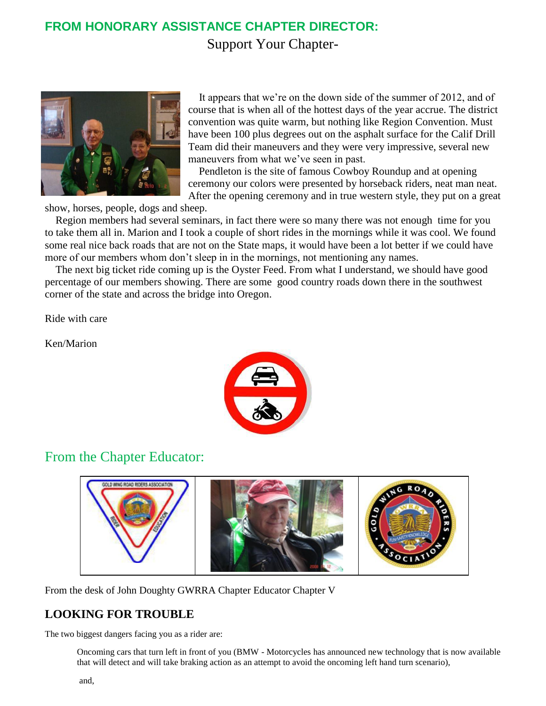# **FROM HONORARY ASSISTANCE CHAPTER DIRECTOR:** Support Your Chapter-



 It appears that we're on the down side of the summer of 2012, and of course that is when all of the hottest days of the year accrue. The district convention was quite warm, but nothing like Region Convention. Must have been 100 plus degrees out on the asphalt surface for the Calif Drill Team did their maneuvers and they were very impressive, several new maneuvers from what we've seen in past.

 Pendleton is the site of famous Cowboy Roundup and at opening ceremony our colors were presented by horseback riders, neat man neat. After the opening ceremony and in true western style, they put on a great

show, horses, people, dogs and sheep.

 Region members had several seminars, in fact there were so many there was not enough time for you to take them all in. Marion and I took a couple of short rides in the mornings while it was cool. We found some real nice back roads that are not on the State maps, it would have been a lot better if we could have more of our members whom don't sleep in in the mornings, not mentioning any names.

 The next big ticket ride coming up is the Oyster Feed. From what I understand, we should have good percentage of our members showing. There are some good country roads down there in the southwest corner of the state and across the bridge into Oregon.

Ride with care

Ken/Marion



## From the Chapter Educator:



From the desk of John Doughty GWRRA Chapter Educator Chapter V

## **LOOKING FOR TROUBLE**

The two biggest dangers facing you as a rider are:

Oncoming cars that turn left in front of you (BMW - Motorcycles has announced new technology that is now available that will detect and will take braking action as an attempt to avoid the oncoming left hand turn scenario),

and,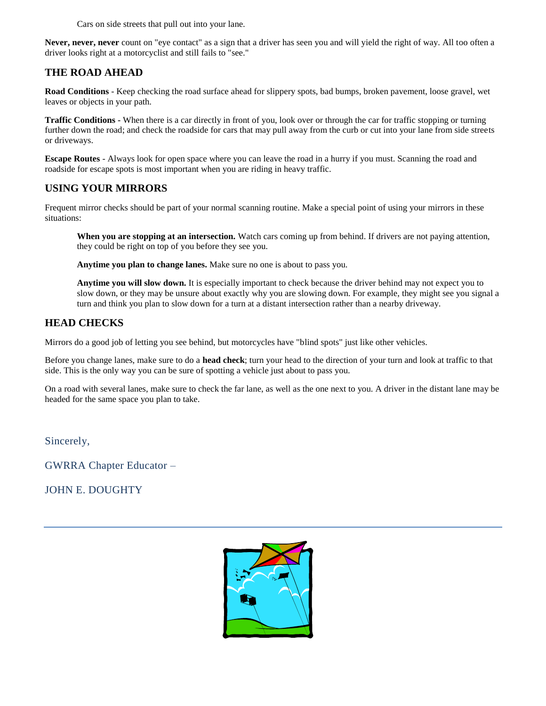Cars on side streets that pull out into your lane.

**Never, never, never** count on "eye contact" as a sign that a driver has seen you and will yield the right of way. All too often a driver looks right at a motorcyclist and still fails to "see."

## **THE ROAD AHEAD**

**Road Conditions** - Keep checking the road surface ahead for slippery spots, bad bumps, broken pavement, loose gravel, wet leaves or objects in your path.

**Traffic Conditions -** When there is a car directly in front of you, look over or through the car for traffic stopping or turning further down the road; and check the roadside for cars that may pull away from the curb or cut into your lane from side streets or driveways.

**Escape Routes** - Always look for open space where you can leave the road in a hurry if you must. Scanning the road and roadside for escape spots is most important when you are riding in heavy traffic.

## **USING YOUR MIRRORS**

Frequent mirror checks should be part of your normal scanning routine. Make a special point of using your mirrors in these situations:

**When you are stopping at an intersection.** Watch cars coming up from behind. If drivers are not paying attention, they could be right on top of you before they see you.

**Anytime you plan to change lanes.** Make sure no one is about to pass you.

**Anytime you will slow down.** It is especially important to check because the driver behind may not expect you to slow down, or they may be unsure about exactly why you are slowing down. For example, they might see you signal a turn and think you plan to slow down for a turn at a distant intersection rather than a nearby driveway.

## **HEAD CHECKS**

Mirrors do a good job of letting you see behind, but motorcycles have "blind spots" just like other vehicles.

Before you change lanes, make sure to do a **head check**; turn your head to the direction of your turn and look at traffic to that side. This is the only way you can be sure of spotting a vehicle just about to pass you.

On a road with several lanes, make sure to check the far lane, as well as the one next to you. A driver in the distant lane may be headed for the same space you plan to take.

Sincerely,

GWRRA Chapter Educator –

JOHN E. DOUGHTY

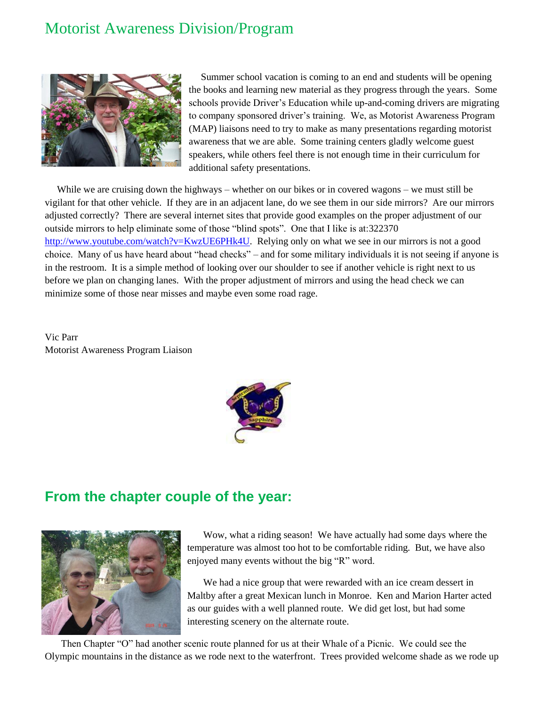# Motorist Awareness Division/Program



Summer school vacation is coming to an end and students will be opening the books and learning new material as they progress through the years. Some schools provide Driver's Education while up-and-coming drivers are migrating to company sponsored driver's training. We, as Motorist Awareness Program (MAP) liaisons need to try to make as many presentations regarding motorist awareness that we are able. Some training centers gladly welcome guest speakers, while others feel there is not enough time in their curriculum for additional safety presentations.

While we are cruising down the highways – whether on our bikes or in covered wagons – we must still be vigilant for that other vehicle. If they are in an adjacent lane, do we see them in our side mirrors? Are our mirrors adjusted correctly? There are several internet sites that provide good examples on the proper adjustment of our outside mirrors to help eliminate some of those "blind spots". One that I like is at:322370 [http://www.youtube.com/watch?v=KwzUE6PHk4U.](http://www.youtube.com/watch?v=KwzUE6PHk4U) Relying only on what we see in our mirrors is not a good choice. Many of us have heard about "head checks" – and for some military individuals it is not seeing if anyone is in the restroom. It is a simple method of looking over our shoulder to see if another vehicle is right next to us before we plan on changing lanes. With the proper adjustment of mirrors and using the head check we can minimize some of those near misses and maybe even some road rage.

Vic Parr Motorist Awareness Program Liaison



## **From the chapter couple of the year:**



Wow, what a riding season! We have actually had some days where the temperature was almost too hot to be comfortable riding. But, we have also enjoyed many events without the big "R" word.

We had a nice group that were rewarded with an ice cream dessert in Maltby after a great Mexican lunch in Monroe. Ken and Marion Harter acted as our guides with a well planned route. We did get lost, but had some interesting scenery on the alternate route.

Then Chapter "O" had another scenic route planned for us at their Whale of a Picnic. We could see the Olympic mountains in the distance as we rode next to the waterfront. Trees provided welcome shade as we rode up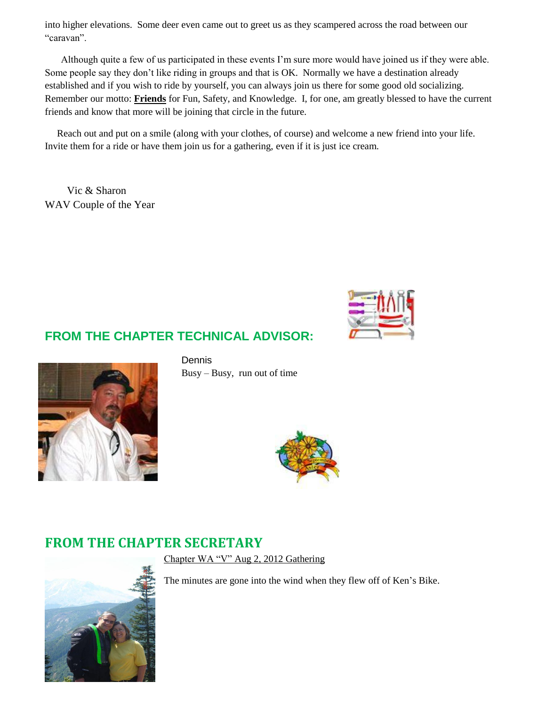into higher elevations. Some deer even came out to greet us as they scampered across the road between our "caravan".

Although quite a few of us participated in these events I'm sure more would have joined us if they were able. Some people say they don't like riding in groups and that is OK. Normally we have a destination already established and if you wish to ride by yourself, you can always join us there for some good old socializing. Remember our motto: **Friends** for Fun, Safety, and Knowledge. I, for one, am greatly blessed to have the current friends and know that more will be joining that circle in the future.

Reach out and put on a smile (along with your clothes, of course) and welcome a new friend into your life. Invite them for a ride or have them join us for a gathering, even if it is just ice cream.

 Vic & Sharon WAV Couple of the Year



## **FROM THE CHAPTER TECHNICAL ADVISOR:**



Dennis Busy – Busy, run out of time



## **FROM THE CHAPTER SECRETARY**



Chapter WA "V" Aug 2, 2012 Gathering

The minutes are gone into the wind when they flew off of Ken's Bike.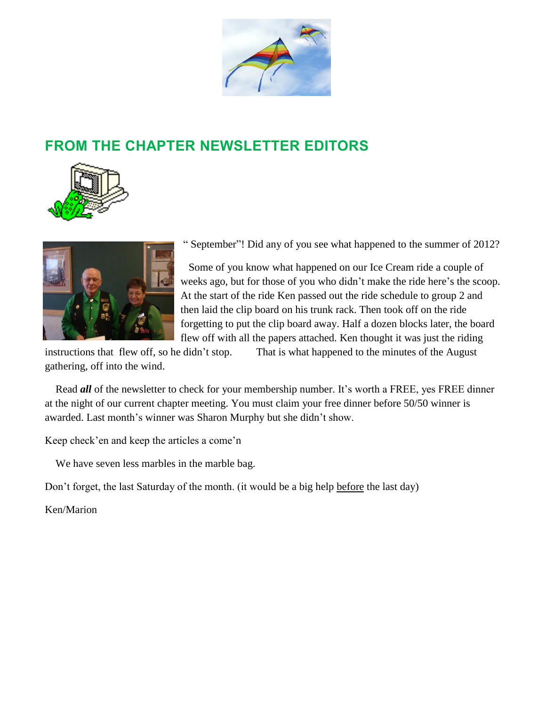

# **FROM THE CHAPTER NEWSLETTER EDITORS**





" September"! Did any of you see what happened to the summer of 2012?

 Some of you know what happened on our Ice Cream ride a couple of weeks ago, but for those of you who didn't make the ride here's the scoop. At the start of the ride Ken passed out the ride schedule to group 2 and then laid the clip board on his trunk rack. Then took off on the ride forgetting to put the clip board away. Half a dozen blocks later, the board flew off with all the papers attached. Ken thought it was just the riding

instructions that flew off, so he didn't stop. That is what happened to the minutes of the August gathering, off into the wind.

 Read *all* of the newsletter to check for your membership number. It's worth a FREE, yes FREE dinner at the night of our current chapter meeting. You must claim your free dinner before 50/50 winner is awarded. Last month's winner was Sharon Murphy but she didn't show.

Keep check'en and keep the articles a come'n

We have seven less marbles in the marble bag.

Don't forget, the last Saturday of the month. (it would be a big help before the last day)

Ken/Marion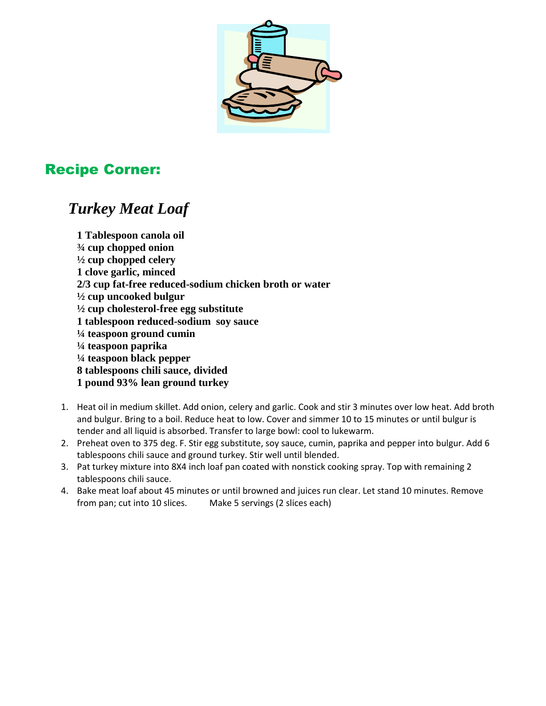

# Recipe Corner:

# *Turkey Meat Loaf*

**1 Tablespoon canola oil ¾ cup chopped onion ½ cup chopped celery 1 clove garlic, minced 2/3 cup fat-free reduced-sodium chicken broth or water ½ cup uncooked bulgur ½ cup cholesterol-free egg substitute 1 tablespoon reduced-sodium soy sauce ¼ teaspoon ground cumin ¼ teaspoon paprika ¼ teaspoon black pepper 8 tablespoons chili sauce, divided 1 pound 93% lean ground turkey**

- 1. Heat oil in medium skillet. Add onion, celery and garlic. Cook and stir 3 minutes over low heat. Add broth and bulgur. Bring to a boil. Reduce heat to low. Cover and simmer 10 to 15 minutes or until bulgur is tender and all liquid is absorbed. Transfer to large bowl: cool to lukewarm.
- 2. Preheat oven to 375 deg. F. Stir egg substitute, soy sauce, cumin, paprika and pepper into bulgur. Add 6 tablespoons chili sauce and ground turkey. Stir well until blended.
- 3. Pat turkey mixture into 8X4 inch loaf pan coated with nonstick cooking spray. Top with remaining 2 tablespoons chili sauce.
- 4. Bake meat loaf about 45 minutes or until browned and juices run clear. Let stand 10 minutes. Remove from pan; cut into 10 slices. Make 5 servings (2 slices each)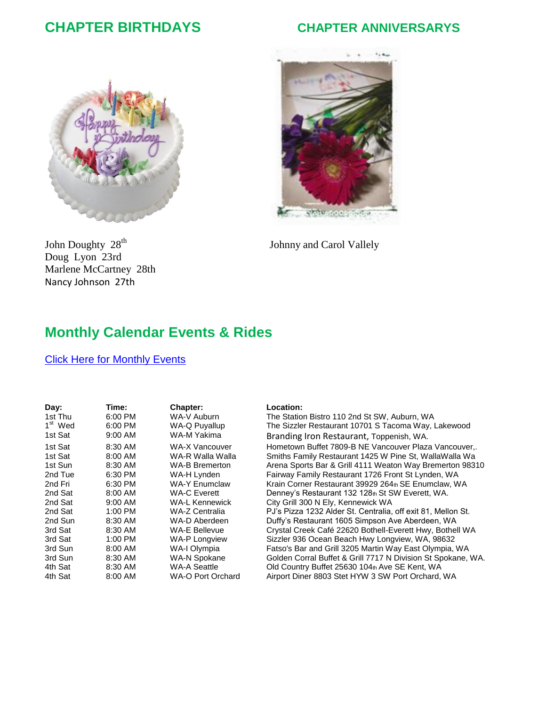## **CHAPTER BIRTHDAYS CHAPTER ANNIVERSARYS**







## **Monthly Calendar Events & Rides**

#### Click Here [for Monthly Events](http://www.gwrra-wav.org/Calendar.htm)

| Day:                | Time:     | Chapter:              |
|---------------------|-----------|-----------------------|
| 1st Thu             | 6:00 PM   | WA-V Auburn           |
| 1 <sup>st</sup> Wed | 6:00 PM   | WA-Q Puyallup         |
| 1st Sat             | $9:00$ AM | WA-M Yakima           |
| 1st Sat             | 8:30 AM   | WA-X Vancouver        |
| 1st Sat             | 8:00 AM   | WA-R Walla Walla      |
| 1st Sun             | 8:30 AM   | <b>WA-B Bremerton</b> |
| 2nd Tue             | 6:30 PM   | WA-H Lynden           |
| 2nd Fri             | 6:30 PM   | <b>WA-Y Enumclaw</b>  |
| 2nd Sat             | 8:00 AM   | <b>WA-C Everett</b>   |
| 2nd Sat             | $9:00$ AM | WA-L Kennewick        |
| 2nd Sat             | 1:00 PM   | WA-Z Centralia        |
| 2nd Sun             | 8:30 AM   | WA-D Aberdeen         |
| 3rd Sat             | 8:30 AM   | WA-E Bellevue         |
| 3rd Sat             | 1:00 PM   | <b>WA-P Longview</b>  |
| 3rd Sun             | 8:00 AM   | WA-I Olympia          |
| 3rd Sun             | 8:30 AM   | WA-N Spokane          |
| 4th Sat             | 8:30 AM   | <b>WA-A Seattle</b>   |
| 4th Sat             | 8:00 AM   | WA-O Port Orchard     |

#### Location:

The Station Bistro 110 2nd St SW, Auburn, WA The Sizzler Restaurant 10701 S Tacoma Way, Lakewood Branding Iron Restaurant, Toppenish, WA. Hometown Buffet 7809-B NE Vancouver Plaza Vancouver,. Smiths Family Restaurant 1425 W Pine St, WallaWalla Wa Arena Sports Bar & Grill 4111 Weaton Way Bremerton 98310 Fairway Family Restaurant 1726 Front St Lynden, WA Krain Corner Restaurant 39929 264th SE Enumclaw, WA Denney's Restaurant 132 128th St SW Everett, WA. City Grill 300 N Ely, Kennewick WA PJ's Pizza 1232 Alder St. Centralia, off exit 81, Mellon St. Duffy's Restaurant 1605 Simpson Ave Aberdeen, WA Crystal Creek Café 22620 Bothell-Everett Hwy, Bothell WA Sizzler 936 Ocean Beach Hwy Longview, WA, 98632 Fatso's Bar and Grill 3205 Martin Way East Olympia, WA Golden Corral Buffet & Grill 7717 N Division St Spokane, WA. Old Country Buffet 25630 104th Ave SE Kent, WA -O Port Orchard Airport Diner 8803 Stet HYW 3 SW Port Orchard, WA